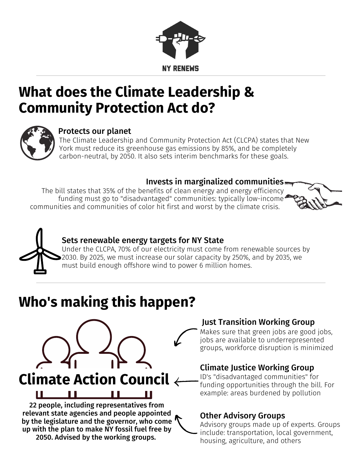

### **What does the Climate Leadership & Community Protection Act do?**



#### Protects our planet

The Climate Leadership and Community Protection Act (CLCPA) states that New York must reduce its greenhouse gas emissions by 85%, and be completely carbon-neutral, by 2050. It also sets interim benchmarks for these goals.

#### Invests in marginalized communities

The bill states that 35% of the benefits of clean energy and energy efficiency funding must go to "disadvantaged" communities: typically low-income communities and communities of color hit first and worst by the climate crisis.





### Sets renewable energy targets for NY State

Under the CLCPA, 70% of our electricity must come from renewable sources by 2030. By 2025, we must increase our solar capacity by 250%, and by 2035, we must build enough offshore wind to power 6 million homes.

# **Who's making this happen?**



relevant state agencies and people appointed by the legislature and the governor, who come up with the plan to make NY fossil fuel free by 2050. Advised by the working groups.

#### Just Transition Working Group

Makes sure that green jobs are good jobs, jobs are available to underrepresented groups, workforce disruption is minimized

### Climate Justice Working Group

ID's "disadvantaged communities" for funding opportunities through the bill. For example: areas burdened by pollution

#### Other Advisory Groups

Advisory groups made up of experts. Groups include: transportation, local government, housing, agriculture, and others